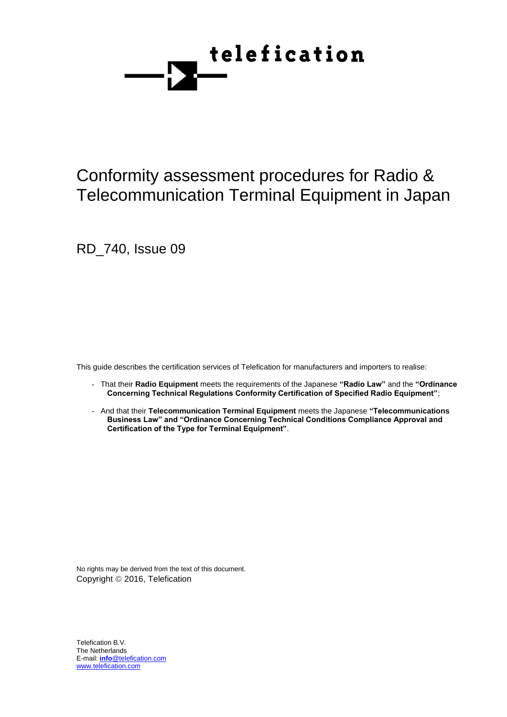

# Conformity assessment procedures for Radio & Telecommunication Terminal Equipment in Japan

RD\_740, Issue 09

This guide describes the certification services of Telefication for manufacturers and importers to realise:

- That their **Radio Equipment** meets the requirements of the Japanese **"Radio Law"** and the **"Ordinance Concerning Technical Regulations Conformity Certification of Specified Radio Equipment"**;
- And that their **Telecommunication Terminal Equipment** meets the Japanese **"Telecommunications Business Law" and "Ordinance Concerning Technical Conditions Compliance Approval and Certification of the Type for Terminal Equipment"**.

No rights may be derived from the text of this document. Copyright © 2016, Telefication

Telefication B.V. The Netherlands E-mail: **info**@telefication.com www.telefication.com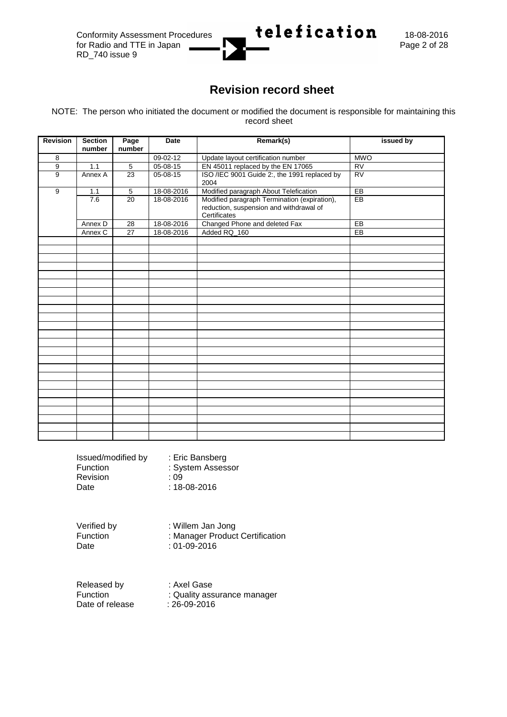

# **Revision record sheet**

NOTE: The person who initiated the document or modified the document is responsible for maintaining this record sheet

| <b>Revision</b> | <b>Section</b><br>number | Page<br>number  | Date           | Remark(s)<br>issued by                                                                                  |            |
|-----------------|--------------------------|-----------------|----------------|---------------------------------------------------------------------------------------------------------|------------|
| 8               |                          |                 | $09 - 02 - 12$ | Update layout certification number                                                                      | <b>MWO</b> |
| 9               | 1.1                      | $\overline{5}$  | $05 - 08 - 15$ | EN 45011 replaced by the EN 17065                                                                       | RV         |
| 9               | Annex A                  | $\overline{23}$ | $05 - 08 - 15$ | ISO /IEC 9001 Guide 2:, the 1991 replaced by<br>2004                                                    | <b>RV</b>  |
| 9               | 1.1                      | $5\phantom{.0}$ | 18-08-2016     | Modified paragraph About Telefication                                                                   | EB         |
|                 | 7.6                      | $\overline{20}$ | 18-08-2016     | Modified paragraph Termination (expiration),<br>reduction, suspension and withdrawal of<br>Certificates | $E$ B      |
|                 | Annex D                  | 28              | 18-08-2016     | Changed Phone and deleted Fax                                                                           | EB         |
|                 | Annex C                  | $\overline{27}$ | 18-08-2016     | Added RQ_160                                                                                            | EB         |
|                 |                          |                 |                |                                                                                                         |            |
|                 |                          |                 |                |                                                                                                         |            |
|                 |                          |                 |                |                                                                                                         |            |
|                 |                          |                 |                |                                                                                                         |            |
|                 |                          |                 |                |                                                                                                         |            |
|                 |                          |                 |                |                                                                                                         |            |
|                 |                          |                 |                |                                                                                                         |            |
|                 |                          |                 |                |                                                                                                         |            |
|                 |                          |                 |                |                                                                                                         |            |
|                 |                          |                 |                |                                                                                                         |            |
|                 |                          |                 |                |                                                                                                         |            |
|                 |                          |                 |                |                                                                                                         |            |
|                 |                          |                 |                |                                                                                                         |            |
|                 |                          |                 |                |                                                                                                         |            |
|                 |                          |                 |                |                                                                                                         |            |
|                 |                          |                 |                |                                                                                                         |            |
|                 |                          |                 |                |                                                                                                         |            |
|                 |                          |                 |                |                                                                                                         |            |
|                 |                          |                 |                |                                                                                                         |            |
|                 |                          |                 |                |                                                                                                         |            |
|                 |                          |                 |                |                                                                                                         |            |
|                 |                          |                 |                |                                                                                                         |            |
|                 |                          |                 |                |                                                                                                         |            |

| Issued/modified by | : Eric Bansberg                 |
|--------------------|---------------------------------|
| <b>Function</b>    | : System Assessor               |
| Revision           | : 09                            |
| Date               | $: 18 - 08 - 2016$              |
| Verified by        | : Willem Jan Jong               |
| <b>Function</b>    | : Manager Product Certification |
| Date               | $: 01 - 09 - 2016$              |
| Released by        | : Axel Gase                     |
| Eunction           | : Auglity accurance manager     |

| .<br>Function   | : Quality assurance manager |
|-----------------|-----------------------------|
| Date of release | $: 26 - 09 - 2016$          |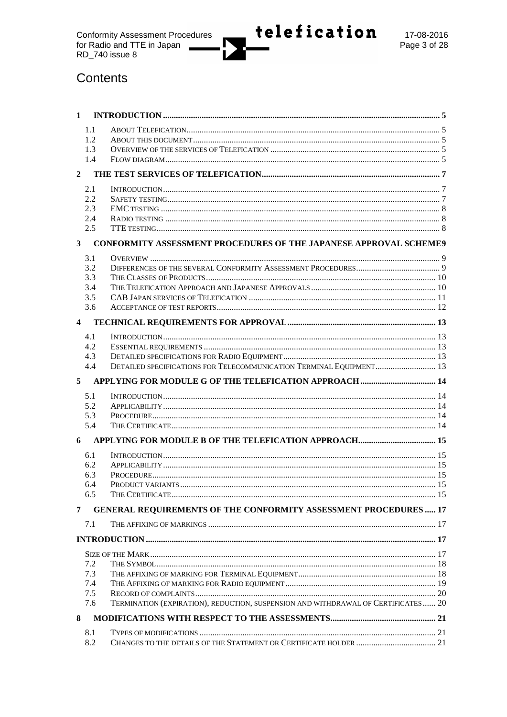$\mathbf{L}$ 



# Contents

| $\mathbf{1}$            |     |                                                                                    |  |
|-------------------------|-----|------------------------------------------------------------------------------------|--|
|                         | 1.1 |                                                                                    |  |
|                         | 1.2 |                                                                                    |  |
|                         | 1.3 |                                                                                    |  |
|                         | 1.4 |                                                                                    |  |
| $\overline{2}$          |     |                                                                                    |  |
|                         | 2.1 |                                                                                    |  |
|                         | 2.2 |                                                                                    |  |
|                         | 2.3 |                                                                                    |  |
|                         | 2.4 |                                                                                    |  |
|                         | 2.5 |                                                                                    |  |
| $\mathbf{3}$            |     | CONFORMITY ASSESSMENT PROCEDURES OF THE JAPANESE APPROVAL SCHEME9                  |  |
|                         | 3.1 |                                                                                    |  |
|                         | 3.2 |                                                                                    |  |
|                         | 3.3 |                                                                                    |  |
|                         | 3.4 |                                                                                    |  |
|                         | 3.5 |                                                                                    |  |
|                         | 3.6 |                                                                                    |  |
| $\overline{\mathbf{4}}$ |     |                                                                                    |  |
|                         | 4.1 |                                                                                    |  |
|                         | 4.2 |                                                                                    |  |
|                         | 4.3 |                                                                                    |  |
|                         | 4.4 | DETAILED SPECIFICATIONS FOR TELECOMMUNICATION TERMINAL EQUIPMENT 13                |  |
| 5                       |     |                                                                                    |  |
|                         | 5.1 |                                                                                    |  |
|                         | 5.2 |                                                                                    |  |
|                         | 5.3 |                                                                                    |  |
|                         | 5.4 |                                                                                    |  |
| 6                       |     |                                                                                    |  |
|                         | 6.1 |                                                                                    |  |
|                         | 6.2 |                                                                                    |  |
|                         | 6.3 |                                                                                    |  |
|                         | 6.4 |                                                                                    |  |
|                         | 6.5 |                                                                                    |  |
| 7                       |     | <b>GENERAL REQUIREMENTS OF THE CONFORMITY ASSESSMENT PROCEDURES  17</b>            |  |
|                         | 7.1 |                                                                                    |  |
|                         |     |                                                                                    |  |
|                         |     |                                                                                    |  |
|                         | 7.2 |                                                                                    |  |
|                         | 7.3 |                                                                                    |  |
|                         | 7.4 |                                                                                    |  |
|                         | 7.5 |                                                                                    |  |
|                         | 7.6 | TERMINATION (EXPIRATION), REDUCTION, SUSPENSION AND WITHDRAWAL OF CERTIFICATES  20 |  |
| 8                       |     |                                                                                    |  |
|                         | 8.1 |                                                                                    |  |
|                         | 8.2 |                                                                                    |  |
|                         |     |                                                                                    |  |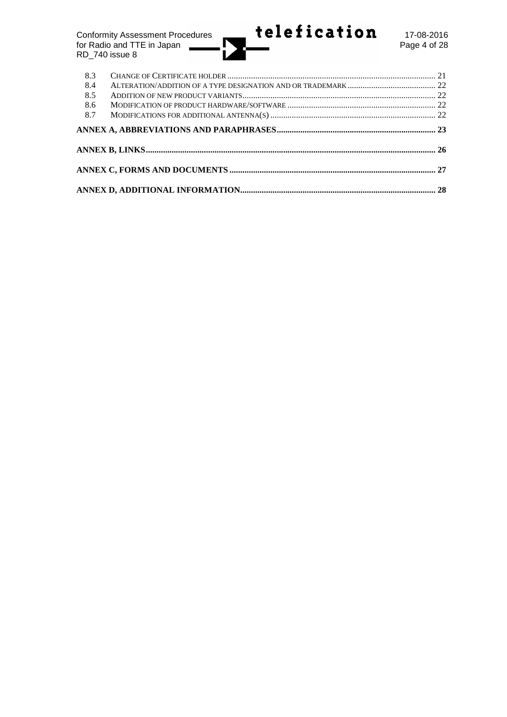Conformity Assessment Procedures  $\blacksquare$  telefication 17-08-2016 for Radio and TTE in Japan **Page 4 of 28** RD\_740 issue 8

| 8.3 |  |
|-----|--|
| 8.4 |  |
| 8.5 |  |
| 8.6 |  |
| 8.7 |  |
|     |  |
|     |  |
|     |  |
|     |  |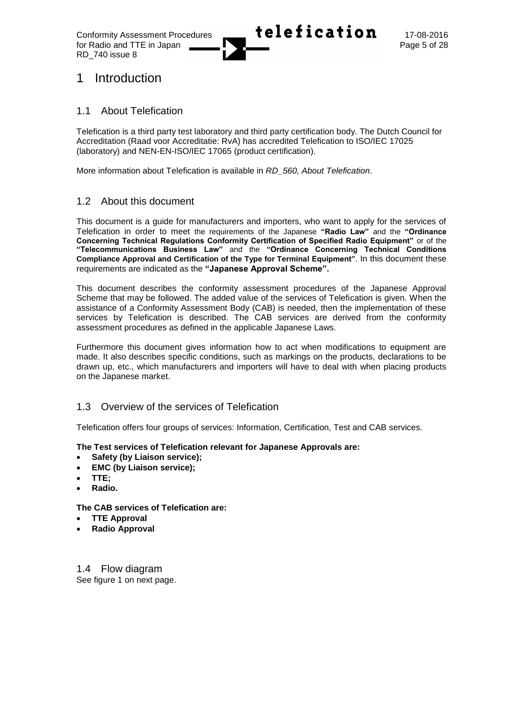

# 1 Introduction

## 1.1 About Telefication

Telefication is a third party test laboratory and third party certification body. The Dutch Council for Accreditation (Raad voor Accreditatie: RvA) has accredited Telefication to ISO/IEC 17025 (laboratory) and NEN-EN-ISO/IEC 17065 (product certification).

More information about Telefication is available in *RD\_560, About Telefication*.

# 1.2 About this document

This document is a guide for manufacturers and importers, who want to apply for the services of Telefication in order to meet the requirements of the Japanese **"Radio Law"** and the **"Ordinance Concerning Technical Regulations Conformity Certification of Specified Radio Equipment"** or of the **"Telecommunications Business Law"** and the **"Ordinance Concerning Technical Conditions Compliance Approval and Certification of the Type for Terminal Equipment"**. In this document these requirements are indicated as the **"Japanese Approval Scheme".**

This document describes the conformity assessment procedures of the Japanese Approval Scheme that may be followed. The added value of the services of Telefication is given. When the assistance of a Conformity Assessment Body (CAB) is needed, then the implementation of these services by Telefication is described. The CAB services are derived from the conformity assessment procedures as defined in the applicable Japanese Laws.

Furthermore this document gives information how to act when modifications to equipment are made. It also describes specific conditions, such as markings on the products, declarations to be drawn up, etc., which manufacturers and importers will have to deal with when placing products on the Japanese market.

# 1.3 Overview of the services of Telefication

Telefication offers four groups of services: Information, Certification, Test and CAB services.

#### **The Test services of Telefication relevant for Japanese Approvals are:**

- **Safety (by Liaison service);**
- **EMC (by Liaison service);**
- **TTE;**
- **Radio.**

## **The CAB services of Telefication are:**

- **TTE Approval**
- **Radio Approval**

1.4 Flow diagram See figure 1 on next page.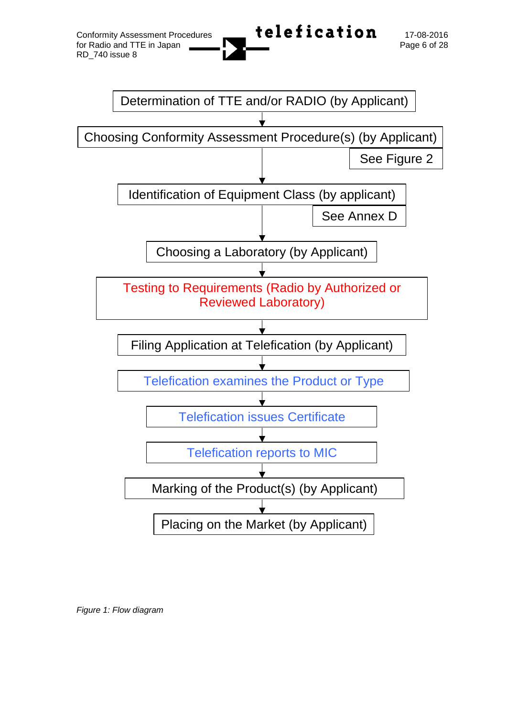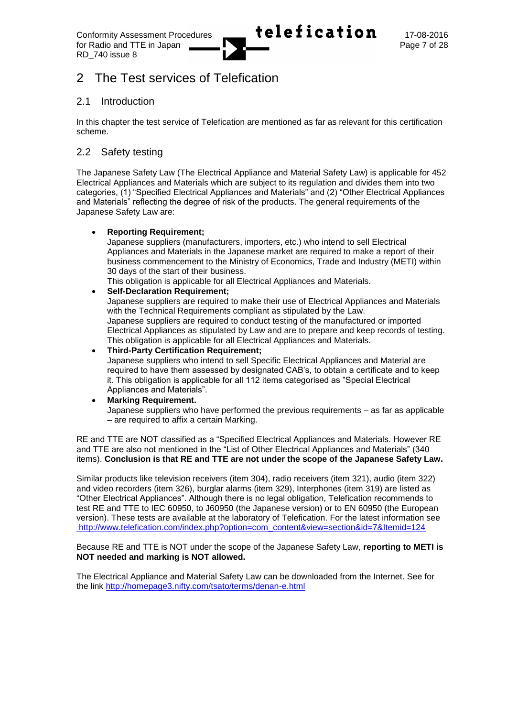# 2 The Test services of Telefication

# 2.1 Introduction

In this chapter the test service of Telefication are mentioned as far as relevant for this certification scheme.

# 2.2 Safety testing

The Japanese Safety Law (The Electrical Appliance and Material Safety Law) is applicable for 452 Electrical Appliances and Materials which are subject to its regulation and divides them into two categories, (1) "Specified Electrical Appliances and Materials" and (2) "Other Electrical Appliances and Materials" reflecting the degree of risk of the products. The general requirements of the Japanese Safety Law are:

### **Reporting Requirement;**

Japanese suppliers (manufacturers, importers, etc.) who intend to sell Electrical Appliances and Materials in the Japanese market are required to make a report of their business commencement to the Ministry of Economics, Trade and Industry (METI) within 30 days of the start of their business.

This obligation is applicable for all Electrical Appliances and Materials.

### **Self-Declaration Requirement;**

Japanese suppliers are required to make their use of Electrical Appliances and Materials with the Technical Requirements compliant as stipulated by the Law. Japanese suppliers are required to conduct testing of the manufactured or imported Electrical Appliances as stipulated by Law and are to prepare and keep records of testing. This obligation is applicable for all Electrical Appliances and Materials.

**Third-Party Certification Requirement;**

Japanese suppliers who intend to sell Specific Electrical Appliances and Material are required to have them assessed by designated CAB's, to obtain a certificate and to keep it. This obligation is applicable for all 112 items categorised as "Special Electrical Appliances and Materials".

#### **Marking Requirement.**

Japanese suppliers who have performed the previous requirements – as far as applicable – are required to affix a certain Marking.

RE and TTE are NOT classified as a "Specified Electrical Appliances and Materials. However RE and TTE are also not mentioned in the "List of Other Electrical Appliances and Materials" (340 items). **Conclusion is that RE and TTE are not under the scope of the Japanese Safety Law.**

Similar products like television receivers (item 304), radio receivers (item 321), audio (item 322) and video recorders (item 326), burglar alarms (item 329), Interphones (item 319) are listed as "Other Electrical Appliances". Although there is no legal obligation, Telefication recommends to test RE and TTE to IEC 60950, to J60950 (the Japanese version) or to EN 60950 (the European version). These tests are available at the laboratory of Telefication. For the latest information see [http://www.telefication.com/index.php?option=com\\_content&view=section&id=7&Itemid=124](http://www.telefication.com/services/testserv.asp)

Because RE and TTE is NOT under the scope of the Japanese Safety Law, **reporting to METI is NOT needed and marking is NOT allowed.**

The Electrical Appliance and Material Safety Law can be downloaded from the Internet. See for the link<http://homepage3.nifty.com/tsato/terms/denan-e.html>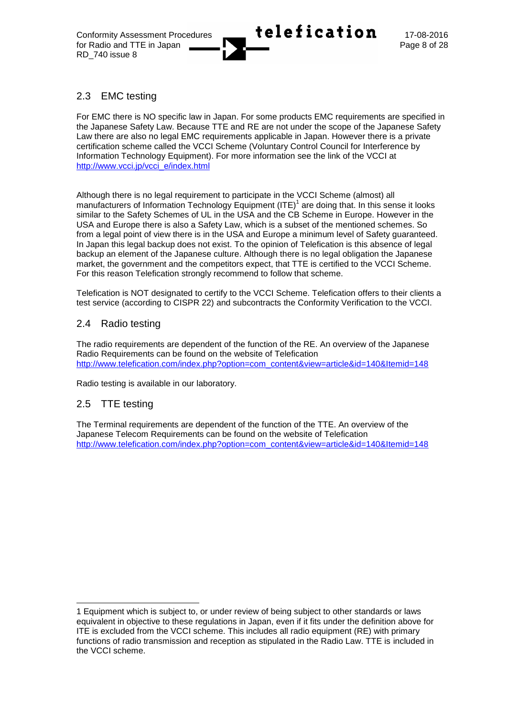

# 2.3 EMC testing

For EMC there is NO specific law in Japan. For some products EMC requirements are specified in the Japanese Safety Law. Because TTE and RE are not under the scope of the Japanese Safety Law there are also no legal EMC requirements applicable in Japan. However there is a private certification scheme called the VCCI Scheme (Voluntary Control Council for Interference by Information Technology Equipment). For more information see the link of the VCCI at [http://www.vcci.jp/vcci\\_e/index.html](http://www.vcci.jp/vcci_e/index.html)

Although there is no legal requirement to participate in the VCCI Scheme (almost) all manufacturers of Information Technology Equipment (ITE) $^1$  are doing that. In this sense it looks similar to the Safety Schemes of UL in the USA and the CB Scheme in Europe. However in the USA and Europe there is also a Safety Law, which is a subset of the mentioned schemes. So from a legal point of view there is in the USA and Europe a minimum level of Safety guaranteed. In Japan this legal backup does not exist. To the opinion of Telefication is this absence of legal backup an element of the Japanese culture. Although there is no legal obligation the Japanese market, the government and the competitors expect, that TTE is certified to the VCCI Scheme. For this reason Telefication strongly recommend to follow that scheme.

Telefication is NOT designated to certify to the VCCI Scheme. Telefication offers to their clients a test service (according to CISPR 22) and subcontracts the Conformity Verification to the VCCI.

# 2.4 Radio testing

The radio requirements are dependent of the function of the RE. An overview of the Japanese Radio Requirements can be found on the website of Telefication [http://www.telefication.com/index.php?option=com\\_content&view=article&id=140&Itemid=148](http://www.telefication.com/index.php?option=com_content&view=article&id=140&Itemid=148)

Radio testing is available in our laboratory.

# 2.5 TTE testing

The Terminal requirements are dependent of the function of the TTE. An overview of the Japanese Telecom Requirements can be found on the website of Telefication [http://www.telefication.com/index.php?option=com\\_content&view=article&id=140&Itemid=148](http://www.telefication.com/index.php?option=com_content&view=article&id=140&Itemid=148)

l 1 Equipment which is subject to, or under review of being subject to other standards or laws equivalent in objective to these regulations in Japan, even if it fits under the definition above for ITE is excluded from the VCCI scheme. This includes all radio equipment (RE) with primary functions of radio transmission and reception as stipulated in the Radio Law. TTE is included in the VCCI scheme.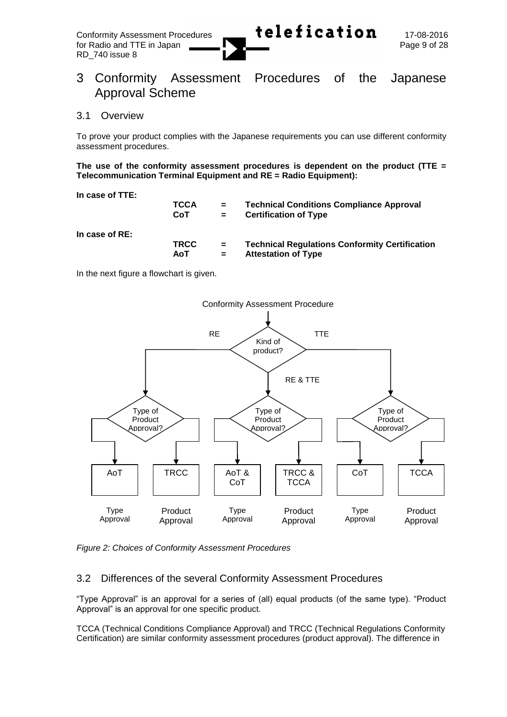

# 3 Conformity Assessment Procedures of the Japanese Approval Scheme

### 3.1 Overview

To prove your product complies with the Japanese requirements you can use different conformity assessment procedures.

**The use of the conformity assessment procedures is dependent on the product (TTE = Telecommunication Terminal Equipment and RE = Radio Equipment):**

**In case of TTE:**

|                | <b>TCCA</b><br><b>CoT</b> | $\equiv$<br>$=$ | <b>Technical Conditions Compliance Approval</b><br><b>Certification of Type</b> |
|----------------|---------------------------|-----------------|---------------------------------------------------------------------------------|
| In case of RE: |                           |                 |                                                                                 |
|                | <b>TRCC</b>               | $=$             | <b>Technical Regulations Conformity Certification</b>                           |
|                | AoT                       | $=$             | <b>Attestation of Type</b>                                                      |
|                |                           |                 |                                                                                 |

In the next figure a flowchart is given.



*Figure 2: Choices of Conformity Assessment Procedures*

# 3.2 Differences of the several Conformity Assessment Procedures

"Type Approval" is an approval for a series of (all) equal products (of the same type). "Product Approval" is an approval for one specific product.

TCCA (Technical Conditions Compliance Approval) and TRCC (Technical Regulations Conformity Certification) are similar conformity assessment procedures (product approval). The difference in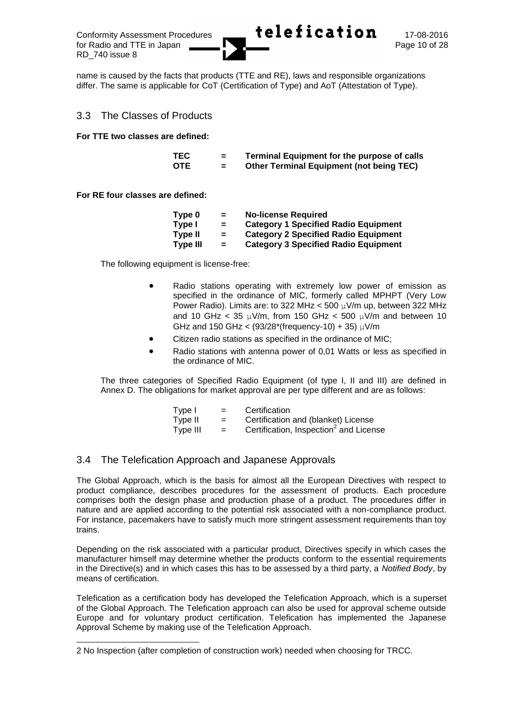

name is caused by the facts that products (TTE and RE), laws and responsible organizations differ. The same is applicable for CoT (Certification of Type) and AoT (Attestation of Type).

### 3.3 The Classes of Products

**For TTE two classes are defined:**

| TEC. | = | <b>Terminal Equipment for the purpose of calls</b> |
|------|---|----------------------------------------------------|
| OTE. | = | <b>Other Terminal Equipment (not being TEC)</b>    |

**For RE four classes are defined:**

l

| Type 0   | =   | <b>No-license Required</b>                  |
|----------|-----|---------------------------------------------|
| Type I   | $=$ | <b>Category 1 Specified Radio Equipment</b> |
| Type II  | $=$ | <b>Category 2 Specified Radio Equipment</b> |
| Type III | $=$ | <b>Category 3 Specified Radio Equipment</b> |

The following equipment is license-free:

- Radio stations operating with extremely low power of emission as specified in the ordinance of MIC, formerly called MPHPT (Very Low Power Radio). Limits are: to 322 MHz < 500 μV/m up, between 322 MHz and 10 GHz < 35  $\mu$ V/m, from 150 GHz < 500  $\mu$ V/m and between 10 GHz and 150 GHz <  $(93/28*(frequency-10) + 35)$  µV/m
- Citizen radio stations as specified in the ordinance of MIC;
- Radio stations with antenna power of 0,01 Watts or less as specified in the ordinance of MIC.

The three categories of Specified Radio Equipment (of type I, II and III) are defined in Annex D. The obligations for market approval are per type different and are as follows:

| Type I   | $=$ | Certification                                      |
|----------|-----|----------------------------------------------------|
| Type II  | $=$ | Certification and (blanket) License                |
| Type III | $=$ | Certification, Inspection <sup>2</sup> and License |

## 3.4 The Telefication Approach and Japanese Approvals

The Global Approach, which is the basis for almost all the European Directives with respect to product compliance, describes procedures for the assessment of products. Each procedure comprises both the design phase and production phase of a product. The procedures differ in nature and are applied according to the potential risk associated with a non-compliance product. For instance, pacemakers have to satisfy much more stringent assessment requirements than toy trains.

Depending on the risk associated with a particular product, Directives specify in which cases the manufacturer himself may determine whether the products conform to the essential requirements in the Directive(s) and in which cases this has to be assessed by a third party, a *Notified Body*, by means of certification.

Telefication as a certification body has developed the Telefication Approach, which is a superset of the Global Approach. The Telefication approach can also be used for approval scheme outside Europe and for voluntary product certification. Telefication has implemented the Japanese Approval Scheme by making use of the Telefication Approach.

<sup>2</sup> No Inspection (after completion of construction work) needed when choosing for TRCC.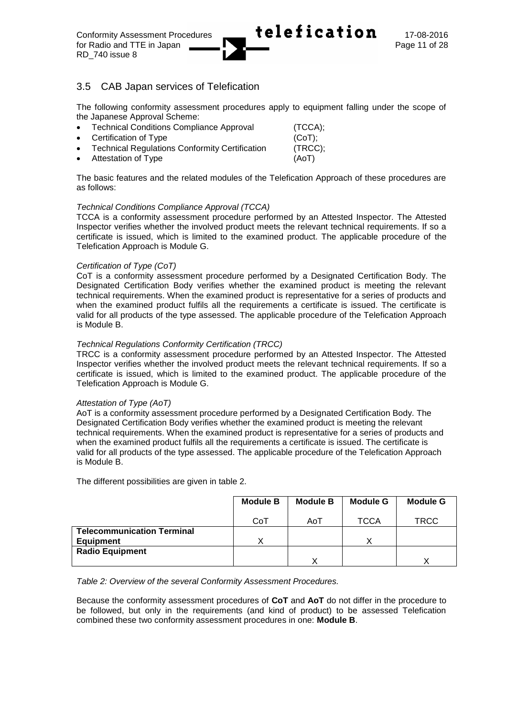

# 3.5 CAB Japan services of Telefication

The following conformity assessment procedures apply to equipment falling under the scope of the Japanese Approval Scheme:

| • Technical Conditions Compliance Approval       | (TCCA);   |
|--------------------------------------------------|-----------|
| • Certification of Type                          | $(CoT)$ ; |
| • Technical Regulations Conformity Certification | (TRCC);   |
| • Attestation of Type                            | (AoT)     |
|                                                  |           |

The basic features and the related modules of the Telefication Approach of these procedures are as follows:

#### *Technical Conditions Compliance Approval (TCCA)*

TCCA is a conformity assessment procedure performed by an Attested Inspector. The Attested Inspector verifies whether the involved product meets the relevant technical requirements. If so a certificate is issued, which is limited to the examined product. The applicable procedure of the Telefication Approach is Module G.

#### *Certification of Type (CoT)*

CoT is a conformity assessment procedure performed by a Designated Certification Body. The Designated Certification Body verifies whether the examined product is meeting the relevant technical requirements. When the examined product is representative for a series of products and when the examined product fulfils all the requirements a certificate is issued. The certificate is valid for all products of the type assessed. The applicable procedure of the Telefication Approach is Module B.

#### *Technical Regulations Conformity Certification (TRCC)*

TRCC is a conformity assessment procedure performed by an Attested Inspector. The Attested Inspector verifies whether the involved product meets the relevant technical requirements. If so a certificate is issued, which is limited to the examined product. The applicable procedure of the Telefication Approach is Module G.

#### *Attestation of Type (AoT)*

AoT is a conformity assessment procedure performed by a Designated Certification Body. The Designated Certification Body verifies whether the examined product is meeting the relevant technical requirements. When the examined product is representative for a series of products and when the examined product fulfils all the requirements a certificate is issued. The certificate is valid for all products of the type assessed. The applicable procedure of the Telefication Approach is Module B.

The different possibilities are given in table 2.

|                                   | <b>Module B</b> | <b>Module B</b> | <b>Module G</b> | <b>Module G</b> |
|-----------------------------------|-----------------|-----------------|-----------------|-----------------|
|                                   | CoT             | AoT             | <b>TCCA</b>     | <b>TRCC</b>     |
| <b>Telecommunication Terminal</b> |                 |                 |                 |                 |
| <b>Equipment</b>                  | Х               |                 |                 |                 |
| <b>Radio Equipment</b>            |                 |                 |                 |                 |
|                                   |                 | v               |                 |                 |

#### *Table 2: Overview of the several Conformity Assessment Procedures.*

Because the conformity assessment procedures of **CoT** and **AoT** do not differ in the procedure to be followed, but only in the requirements (and kind of product) to be assessed Telefication combined these two conformity assessment procedures in one: **Module B**.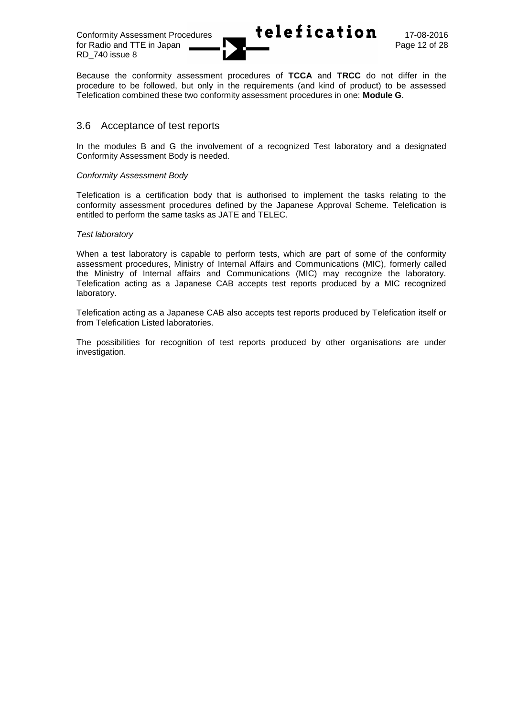for Radio and TTE in Japan **Page 12 of 28** RD\_740 issue 8

Because the conformity assessment procedures of **TCCA** and **TRCC** do not differ in the procedure to be followed, but only in the requirements (and kind of product) to be assessed Telefication combined these two conformity assessment procedures in one: **Module G**.

### 3.6 Acceptance of test reports

In the modules B and G the involvement of a recognized Test laboratory and a designated Conformity Assessment Body is needed.

#### *Conformity Assessment Body*

Telefication is a certification body that is authorised to implement the tasks relating to the conformity assessment procedures defined by the Japanese Approval Scheme. Telefication is entitled to perform the same tasks as JATE and TELEC.

#### *Test laboratory*

When a test laboratory is capable to perform tests, which are part of some of the conformity assessment procedures, Ministry of Internal Affairs and Communications (MIC), formerly called the Ministry of Internal affairs and Communications (MIC) may recognize the laboratory. Telefication acting as a Japanese CAB accepts test reports produced by a MIC recognized laboratory.

Telefication acting as a Japanese CAB also accepts test reports produced by Telefication itself or from Telefication Listed laboratories.

The possibilities for recognition of test reports produced by other organisations are under investigation.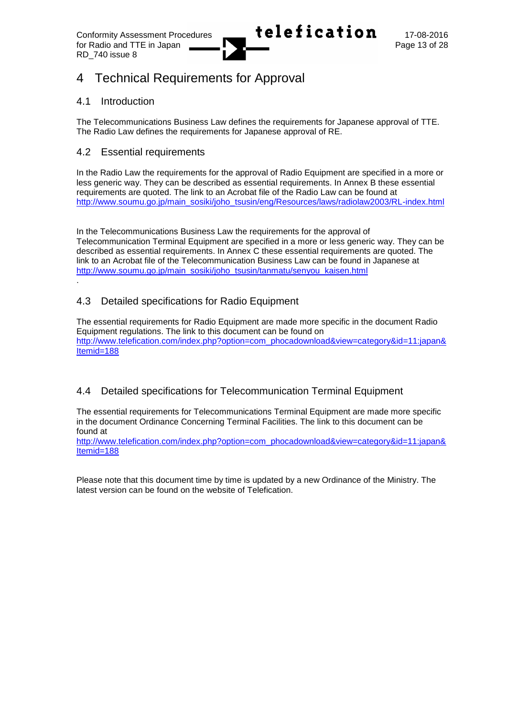# 4 Technical Requirements for Approval

# 4.1 Introduction

.

The Telecommunications Business Law defines the requirements for Japanese approval of TTE. The Radio Law defines the requirements for Japanese approval of RE.

# 4.2 Essential requirements

In the Radio Law the requirements for the approval of Radio Equipment are specified in a more or less generic way. They can be described as essential requirements. In Annex B these essential requirements are quoted. The link to an Acrobat file of the Radio Law can be found at [http://www.soumu.go.jp/main\\_sosiki/joho\\_tsusin/eng/Resources/laws/radiolaw2003/RL-index.html](http://www.soumu.go.jp/main_sosiki/joho_tsusin/eng/Resources/laws/radiolaw2003/RL-index.html)

In the Telecommunications Business Law the requirements for the approval of Telecommunication Terminal Equipment are specified in a more or less generic way. They can be described as essential requirements. In Annex C these essential requirements are quoted. The link to an Acrobat file of the Telecommunication Business Law can be found in Japanese at [http://www.soumu.go.jp/main\\_sosiki/joho\\_tsusin/tanmatu/senyou\\_kaisen.html](http://www.soumu.go.jp/main_sosiki/joho_tsusin/tanmatu/senyou_kaisen.html)

# 4.3 Detailed specifications for Radio Equipment

The essential requirements for Radio Equipment are made more specific in the document Radio Equipment regulations. The link to this document can be found on [http://www.telefication.com/index.php?option=com\\_phocadownload&view=category&id=11:japan&](http://www.telefication.com/index.php?option=com_phocadownload&view=category&id=11:japan&Itemid=188) [Itemid=188](http://www.telefication.com/index.php?option=com_phocadownload&view=category&id=11:japan&Itemid=188)

# 4.4 Detailed specifications for Telecommunication Terminal Equipment

The essential requirements for Telecommunications Terminal Equipment are made more specific in the document Ordinance Concerning Terminal Facilities. The link to this document can be found at

[http://www.telefication.com/index.php?option=com\\_phocadownload&view=category&id=11:japan&](http://www.telefication.com/index.php?option=com_phocadownload&view=category&id=11:japan&Itemid=188) [Itemid=188](http://www.telefication.com/index.php?option=com_phocadownload&view=category&id=11:japan&Itemid=188)

Please note that this document time by time is updated by a new Ordinance of the Ministry. The latest version can be found on the website of Telefication.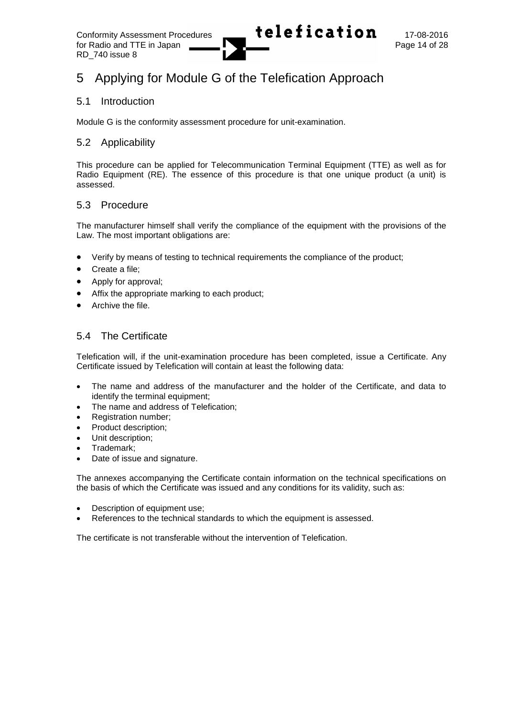

# 5 Applying for Module G of the Telefication Approach

### 5.1 Introduction

Module G is the conformity assessment procedure for unit-examination.

### 5.2 Applicability

This procedure can be applied for Telecommunication Terminal Equipment (TTE) as well as for Radio Equipment (RE). The essence of this procedure is that one unique product (a unit) is assessed.

## 5.3 Procedure

The manufacturer himself shall verify the compliance of the equipment with the provisions of the Law. The most important obligations are:

- Verify by means of testing to technical requirements the compliance of the product;
- Create a file;
- Apply for approval;
- Affix the appropriate marking to each product;
- Archive the file.

# 5.4 The Certificate

Telefication will, if the unit-examination procedure has been completed, issue a Certificate. Any Certificate issued by Telefication will contain at least the following data:

- The name and address of the manufacturer and the holder of the Certificate, and data to identify the terminal equipment;
- The name and address of Telefication:
- Registration number;
- Product description;
- Unit description:
- Trademark;
- Date of issue and signature.

The annexes accompanying the Certificate contain information on the technical specifications on the basis of which the Certificate was issued and any conditions for its validity, such as:

- Description of equipment use;
- References to the technical standards to which the equipment is assessed.

The certificate is not transferable without the intervention of Telefication.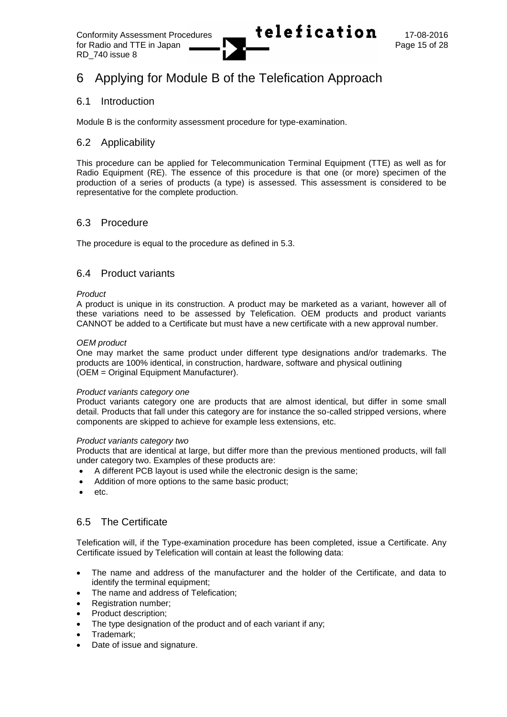

# 6 Applying for Module B of the Telefication Approach

### 6.1 Introduction

Module B is the conformity assessment procedure for type-examination.

### 6.2 Applicability

This procedure can be applied for Telecommunication Terminal Equipment (TTE) as well as for Radio Equipment (RE). The essence of this procedure is that one (or more) specimen of the production of a series of products (a type) is assessed. This assessment is considered to be representative for the complete production.

## 6.3 Procedure

The procedure is equal to the procedure as defined in 5.3.

## 6.4 Product variants

#### *Product*

A product is unique in its construction. A product may be marketed as a variant, however all of these variations need to be assessed by Telefication. OEM products and product variants CANNOT be added to a Certificate but must have a new certificate with a new approval number.

#### *OEM product*

One may market the same product under different type designations and/or trademarks. The products are 100% identical, in construction, hardware, software and physical outlining (OEM = Original Equipment Manufacturer).

#### *Product variants category one*

Product variants category one are products that are almost identical, but differ in some small detail. Products that fall under this category are for instance the so-called stripped versions, where components are skipped to achieve for example less extensions, etc.

#### *Product variants category two*

Products that are identical at large, but differ more than the previous mentioned products, will fall under category two. Examples of these products are:

- A different PCB layout is used while the electronic design is the same;
- Addition of more options to the same basic product;
- etc.

## 6.5 The Certificate

Telefication will, if the Type-examination procedure has been completed, issue a Certificate. Any Certificate issued by Telefication will contain at least the following data:

- The name and address of the manufacturer and the holder of the Certificate, and data to identify the terminal equipment;
- The name and address of Telefication;
- Registration number;
- Product description;
- The type designation of the product and of each variant if any;
- Trademark;
- Date of issue and signature.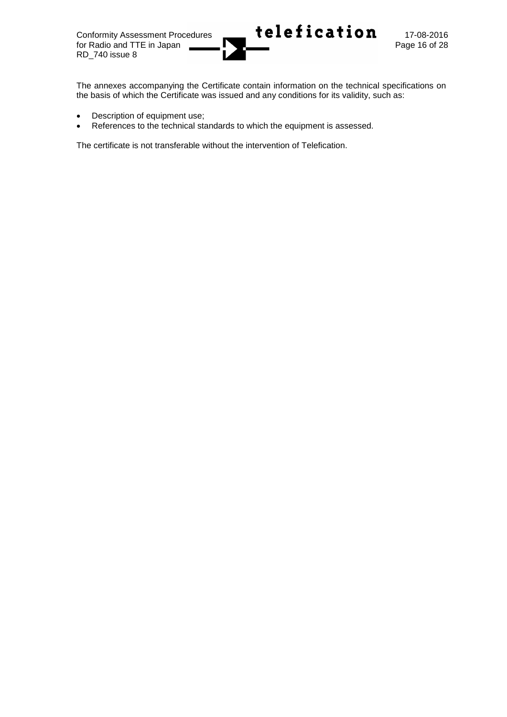

The annexes accompanying the Certificate contain information on the technical specifications on the basis of which the Certificate was issued and any conditions for its validity, such as:

- Description of equipment use;
- References to the technical standards to which the equipment is assessed.

The certificate is not transferable without the intervention of Telefication.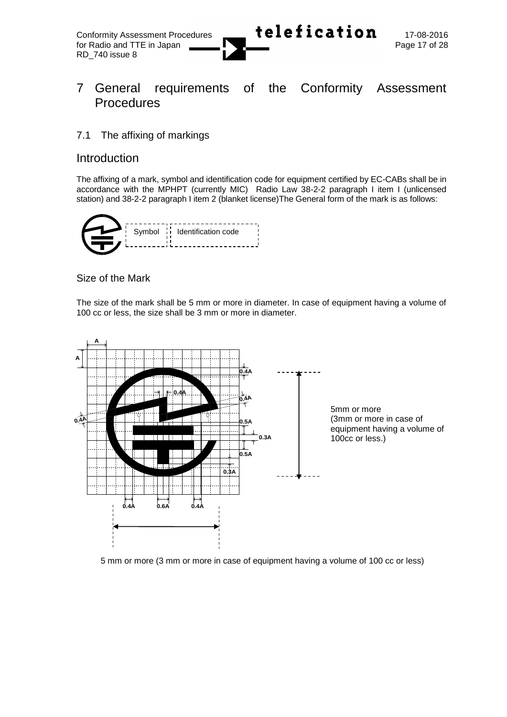for Radio and TTE in Japan RD\_740 issue 8



# 7 General requirements of the Conformity Assessment **Procedures**

# 7.1 The affixing of markings

# **Introduction**

The affixing of a mark, symbol and identification code for equipment certified by EC-CABs shall be in accordance with the MPHPT (currently MIC) Radio Law 38-2-2 paragraph I item I (unlicensed station) and 38-2-2 paragraph I item 2 (blanket license)The General form of the mark is as follows:



# Size of the Mark

The size of the mark shall be 5 mm or more in diameter. In case of equipment having a volume of 100 cc or less, the size shall be 3 mm or more in diameter.



5 mm or more (3 mm or more in case of equipment having a volume of 100 cc or less)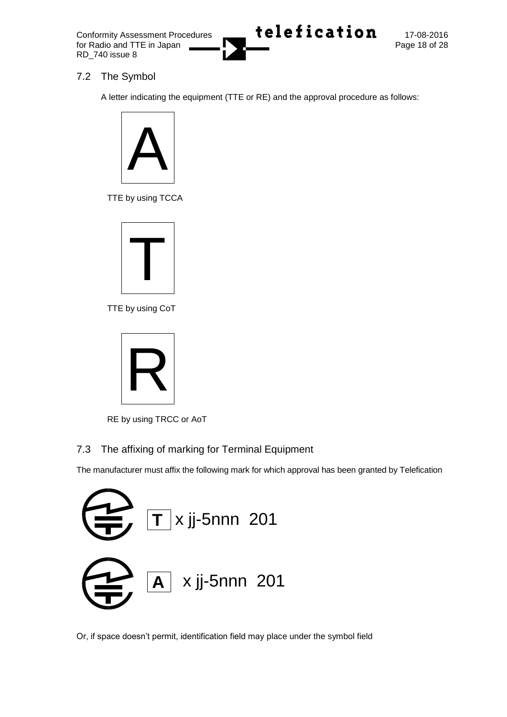for Radio and TTE in Japan RD\_740 issue 8



# 7.2 The Symbol

A letter indicating the equipment (TTE or RE) and the approval procedure as follows:



TTE by using TCCA



TTE by using CoT



RE by using TRCC or AoT

# 7.3 The affixing of marking for Terminal Equipment

The manufacturer must affix the following mark for which approval has been granted by Telefication



Or, if space doesn't permit, identification field may place under the symbol field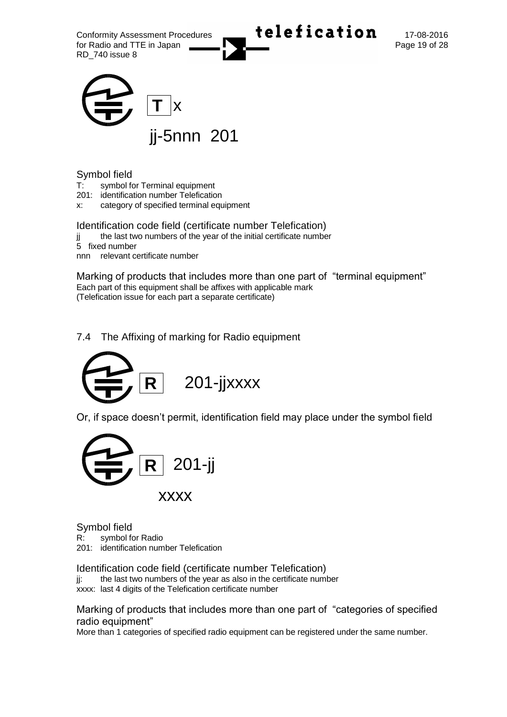for Radio and TTE in Japan **Page 19 of 28** RD\_740 issue 8





# Symbol field

- T: symbol for Terminal equipment
- 201: identification number Telefication
- x: category of specified terminal equipment

## Identification code field (certificate number Telefication)

- jj the last two numbers of the year of the initial certificate number
- 5 fixed number
- nnn relevant certificate number

Marking of products that includes more than one part of "terminal equipment" Each part of this equipment shall be affixes with applicable mark (Telefication issue for each part a separate certificate)

# 7.4 The Affixing of marking for Radio equipment



Or, if space doesn't permit, identification field may place under the symbol field



Symbol field R: symbol for Radio 201: identification number Telefication

Identification code field (certificate number Telefication) ji: the last two numbers of the year as also in the certificate number xxxx: last 4 digits of the Telefication certificate number

Marking of products that includes more than one part of "categories of specified radio equipment"

More than 1 categories of specified radio equipment can be registered under the same number.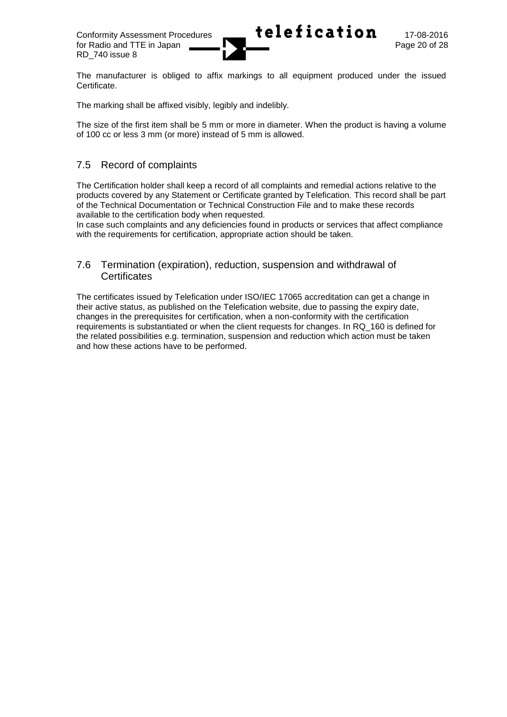The manufacturer is obliged to affix markings to all equipment produced under the issued Certificate.

The marking shall be affixed visibly, legibly and indelibly.

The size of the first item shall be 5 mm or more in diameter. When the product is having a volume of 100 cc or less 3 mm (or more) instead of 5 mm is allowed.

# 7.5 Record of complaints

The Certification holder shall keep a record of all complaints and remedial actions relative to the products covered by any Statement or Certificate granted by Telefication. This record shall be part of the Technical Documentation or Technical Construction File and to make these records available to the certification body when requested.

In case such complaints and any deficiencies found in products or services that affect compliance with the requirements for certification, appropriate action should be taken.

# 7.6 Termination (expiration), reduction, suspension and withdrawal of **Certificates**

The certificates issued by Telefication under ISO/IEC 17065 accreditation can get a change in their active status, as published on the Telefication website, due to passing the expiry date, changes in the prerequisites for certification, when a non-conformity with the certification requirements is substantiated or when the client requests for changes. In RQ\_160 is defined for the related possibilities e.g. termination, suspension and reduction which action must be taken and how these actions have to be performed.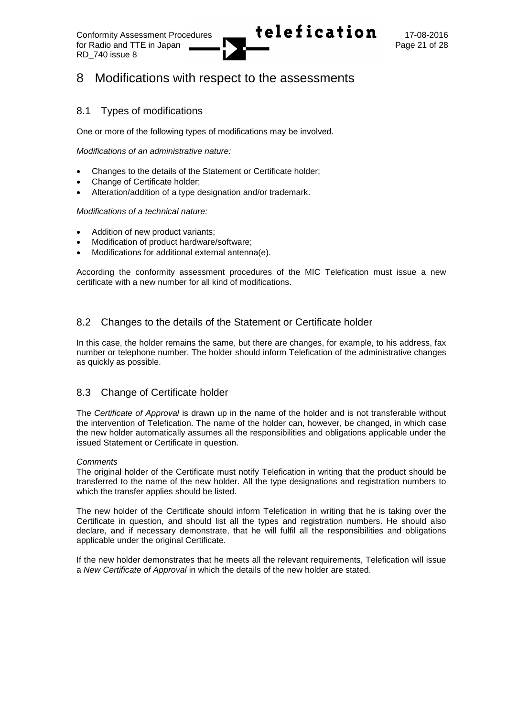

# 8 Modifications with respect to the assessments

## 8.1 Types of modifications

One or more of the following types of modifications may be involved.

*Modifications of an administrative nature:*

- Changes to the details of the Statement or Certificate holder;
- Change of Certificate holder;
- Alteration/addition of a type designation and/or trademark.

*Modifications of a technical nature:*

- Addition of new product variants;
- Modification of product hardware/software;
- Modifications for additional external antenna(e).

According the conformity assessment procedures of the MIC Telefication must issue a new certificate with a new number for all kind of modifications.

## 8.2 Changes to the details of the Statement or Certificate holder

In this case, the holder remains the same, but there are changes, for example, to his address, fax number or telephone number. The holder should inform Telefication of the administrative changes as quickly as possible.

## 8.3 Change of Certificate holder

The *Certificate of Approval* is drawn up in the name of the holder and is not transferable without the intervention of Telefication. The name of the holder can, however, be changed, in which case the new holder automatically assumes all the responsibilities and obligations applicable under the issued Statement or Certificate in question.

#### *Comments*

The original holder of the Certificate must notify Telefication in writing that the product should be transferred to the name of the new holder. All the type designations and registration numbers to which the transfer applies should be listed.

The new holder of the Certificate should inform Telefication in writing that he is taking over the Certificate in question, and should list all the types and registration numbers. He should also declare, and if necessary demonstrate, that he will fulfil all the responsibilities and obligations applicable under the original Certificate.

If the new holder demonstrates that he meets all the relevant requirements, Telefication will issue a *New Certificate of Approval* in which the details of the new holder are stated.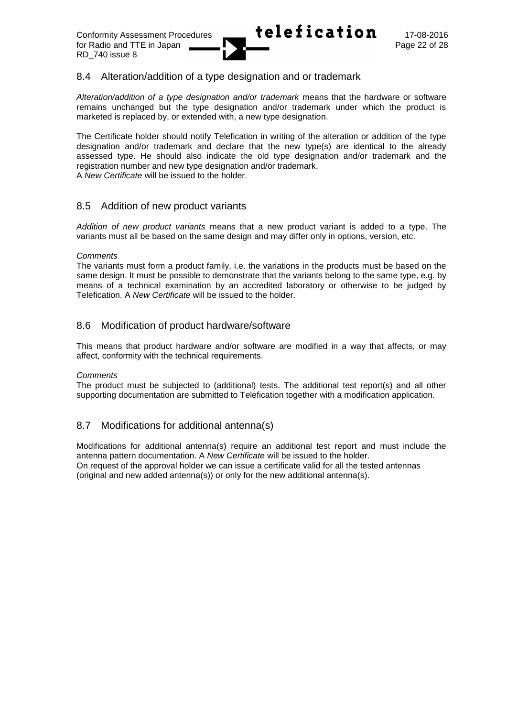# 8.4 Alteration/addition of a type designation and or trademark

*Alteration/addition of a type designation and/or trademark* means that the hardware or software remains unchanged but the type designation and/or trademark under which the product is marketed is replaced by, or extended with, a new type designation.

The Certificate holder should notify Telefication in writing of the alteration or addition of the type designation and/or trademark and declare that the new type(s) are identical to the already assessed type. He should also indicate the old type designation and/or trademark and the registration number and new type designation and/or trademark.

A *New Certificate* will be issued to the holder.

# 8.5 Addition of new product variants

*Addition of new product variants* means that a new product variant is added to a type. The variants must all be based on the same design and may differ only in options, version, etc.

#### *Comments*

The variants must form a product family, i.e. the variations in the products must be based on the same design. It must be possible to demonstrate that the variants belong to the same type, e.g. by means of a technical examination by an accredited laboratory or otherwise to be judged by Telefication. A *New Certificate* will be issued to the holder.

## 8.6 Modification of product hardware/software

This means that product hardware and/or software are modified in a way that affects, or may affect, conformity with the technical requirements.

#### *Comments*

The product must be subjected to (additional) tests. The additional test report(s) and all other supporting documentation are submitted to Telefication together with a modification application.

## 8.7 Modifications for additional antenna(s)

Modifications for additional antenna(s) require an additional test report and must include the antenna pattern documentation. A *New Certificate* will be issued to the holder. On request of the approval holder we can issue a certificate valid for all the tested antennas (original and new added antenna(s)) or only for the new additional antenna(s).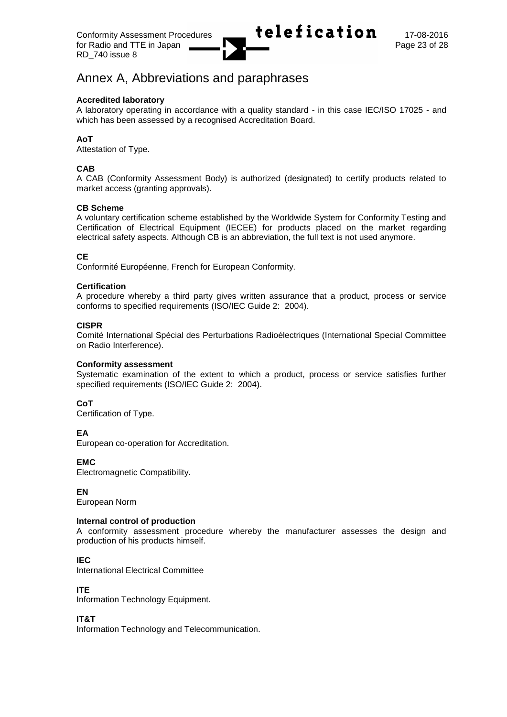

# Annex A, Abbreviations and paraphrases

#### **Accredited laboratory**

A laboratory operating in accordance with a quality standard - in this case IEC/ISO 17025 - and which has been assessed by a recognised Accreditation Board.

### **AoT**

Attestation of Type.

#### **CAB**

A CAB (Conformity Assessment Body) is authorized (designated) to certify products related to market access (granting approvals).

#### **CB Scheme**

A voluntary certification scheme established by the Worldwide System for Conformity Testing and Certification of Electrical Equipment (IECEE) for products placed on the market regarding electrical safety aspects. Although CB is an abbreviation, the full text is not used anymore.

#### **CE**

Conformité Européenne, French for European Conformity.

#### **Certification**

A procedure whereby a third party gives written assurance that a product, process or service conforms to specified requirements (ISO/IEC Guide 2: 2004).

#### **CISPR**

Comité International Spécial des Perturbations Radioélectriques (International Special Committee on Radio Interference).

#### **Conformity assessment**

Systematic examination of the extent to which a product, process or service satisfies further specified requirements (ISO/IEC Guide 2: 2004).

#### **CoT**

Certification of Type.

#### **EA**

European co-operation for Accreditation.

#### **EMC**

Electromagnetic Compatibility.

#### **EN**

European Norm

#### **Internal control of production**

A conformity assessment procedure whereby the manufacturer assesses the design and production of his products himself.

#### **IEC**

International Electrical Committee

#### **ITE**

Information Technology Equipment.

#### **IT&T**

Information Technology and Telecommunication.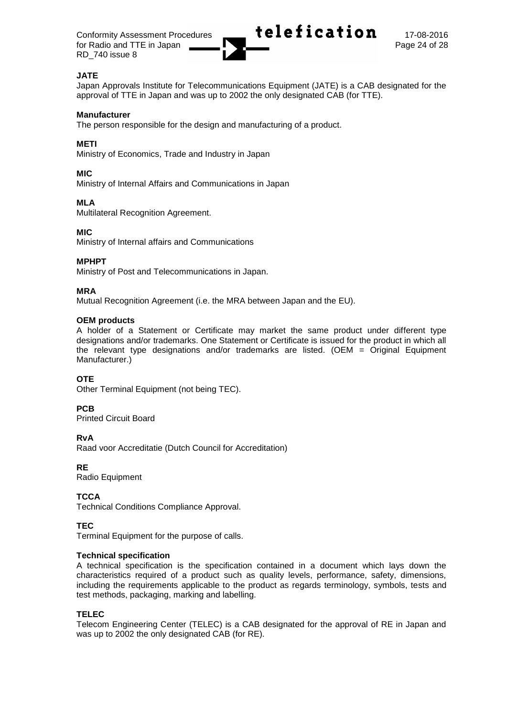

#### **JATE**

Japan Approvals Institute for Telecommunications Equipment (JATE) is a CAB designated for the approval of TTE in Japan and was up to 2002 the only designated CAB (for TTE).

#### **Manufacturer**

The person responsible for the design and manufacturing of a product.

#### **METI**

Ministry of Economics, Trade and Industry in Japan

#### **MIC**

Ministry of Internal Affairs and Communications in Japan

#### **MLA**

Multilateral Recognition Agreement.

#### **MIC**

Ministry of Internal affairs and Communications

#### **MPHPT**

Ministry of Post and Telecommunications in Japan.

#### **MRA**

Mutual Recognition Agreement (i.e. the MRA between Japan and the EU).

#### **OEM products**

A holder of a Statement or Certificate may market the same product under different type designations and/or trademarks. One Statement or Certificate is issued for the product in which all the relevant type designations and/or trademarks are listed. (OEM = Original Equipment Manufacturer.)

#### **OTE**

Other Terminal Equipment (not being TEC).

#### **PCB**

Printed Circuit Board

#### **RvA**

Raad voor Accreditatie (Dutch Council for Accreditation)

**RE**

Radio Equipment

#### **TCCA**

Technical Conditions Compliance Approval.

#### **TEC**

Terminal Equipment for the purpose of calls.

#### **Technical specification**

A technical specification is the specification contained in a document which lays down the characteristics required of a product such as quality levels, performance, safety, dimensions, including the requirements applicable to the product as regards terminology, symbols, tests and test methods, packaging, marking and labelling.

#### **TELEC**

Telecom Engineering Center (TELEC) is a CAB designated for the approval of RE in Japan and was up to 2002 the only designated CAB (for RE).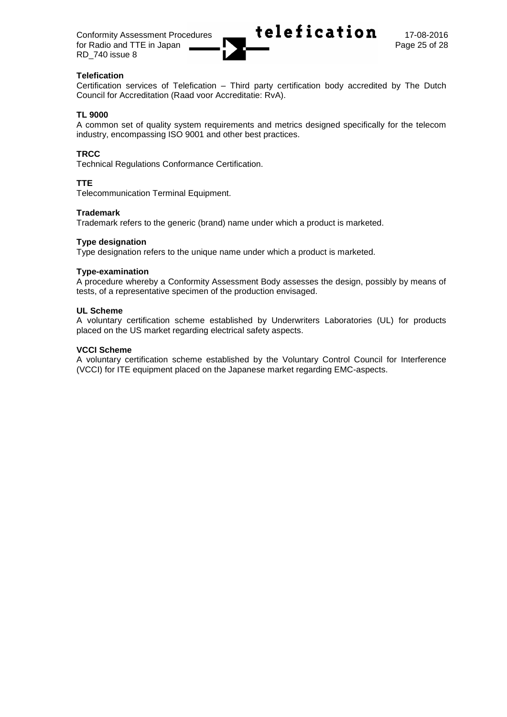

#### **Telefication**

Certification services of Telefication – Third party certification body accredited by The Dutch Council for Accreditation (Raad voor Accreditatie: RvA).

#### **TL 9000**

A common set of quality system requirements and metrics designed specifically for the telecom industry, encompassing ISO 9001 and other best practices.

#### **TRCC**

Technical Regulations Conformance Certification.

#### **TTE**

Telecommunication Terminal Equipment.

#### **Trademark**

Trademark refers to the generic (brand) name under which a product is marketed.

#### **Type designation**

Type designation refers to the unique name under which a product is marketed.

#### **Type-examination**

A procedure whereby a Conformity Assessment Body assesses the design, possibly by means of tests, of a representative specimen of the production envisaged.

#### **UL Scheme**

A voluntary certification scheme established by Underwriters Laboratories (UL) for products placed on the US market regarding electrical safety aspects.

#### **VCCI Scheme**

A voluntary certification scheme established by the Voluntary Control Council for Interference (VCCI) for ITE equipment placed on the Japanese market regarding EMC-aspects.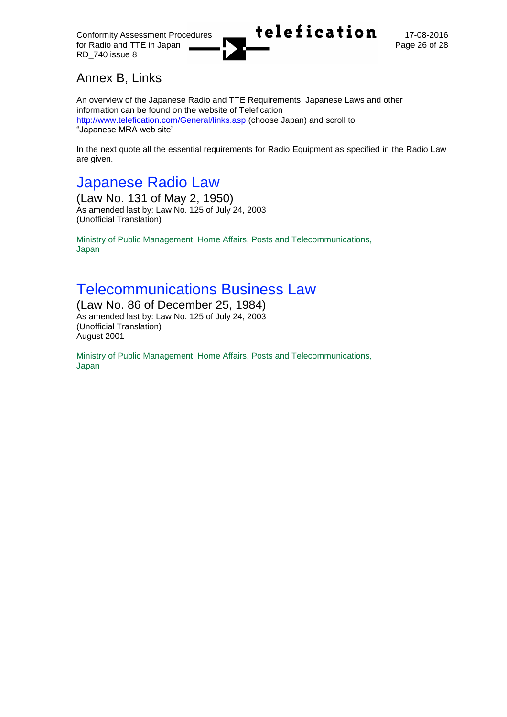for Radio and TTE in Japan RD\_740 issue 8



# Annex B, Links

An overview of the Japanese Radio and TTE Requirements, Japanese Laws and other information can be found on the website of Telefication <http://www.telefication.com/General/links.asp> (choose Japan) and scroll to "Japanese MRA web site"

In the next quote all the essential requirements for Radio Equipment as specified in the Radio Law are given.

# Japanese Radio Law

(Law No. 131 of May 2, 1950) As amended last by: Law No. 125 of July 24, 2003 (Unofficial Translation)

Ministry of Public Management, Home Affairs, Posts and Telecommunications, Japan

# Telecommunications Business Law

# (Law No. 86 of December 25, 1984)

As amended last by: Law No. 125 of July 24, 2003 (Unofficial Translation) August 2001

Ministry of Public Management, Home Affairs, Posts and Telecommunications, Japan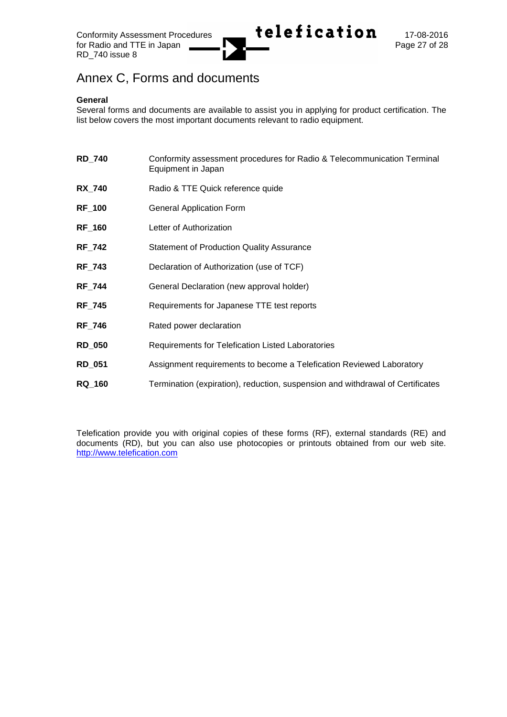

# Annex C, Forms and documents

#### **General**

Several forms and documents are available to assist you in applying for product certification. The list below covers the most important documents relevant to radio equipment.

| <b>RD 740</b> | Conformity assessment procedures for Radio & Telecommunication Terminal<br>Equipment in Japan |
|---------------|-----------------------------------------------------------------------------------------------|
| <b>RX_740</b> | Radio & TTE Quick reference quide                                                             |
| <b>RF_100</b> | <b>General Application Form</b>                                                               |
| <b>RF_160</b> | Letter of Authorization                                                                       |
| <b>RF_742</b> | <b>Statement of Production Quality Assurance</b>                                              |
| <b>RF 743</b> | Declaration of Authorization (use of TCF)                                                     |
| <b>RF 744</b> | General Declaration (new approval holder)                                                     |
| <b>RF_745</b> | Requirements for Japanese TTE test reports                                                    |
| <b>RF_746</b> | Rated power declaration                                                                       |
| <b>RD_050</b> | Requirements for Telefication Listed Laboratories                                             |
| <b>RD_051</b> | Assignment requirements to become a Telefication Reviewed Laboratory                          |
| <b>RQ_160</b> | Termination (expiration), reduction, suspension and withdrawal of Certificates                |

Telefication provide you with original copies of these forms (RF), external standards (RE) and documents (RD), but you can also use photocopies or printouts obtained from our web site. [http://www.telefication.com](http://www.telefication.com/)